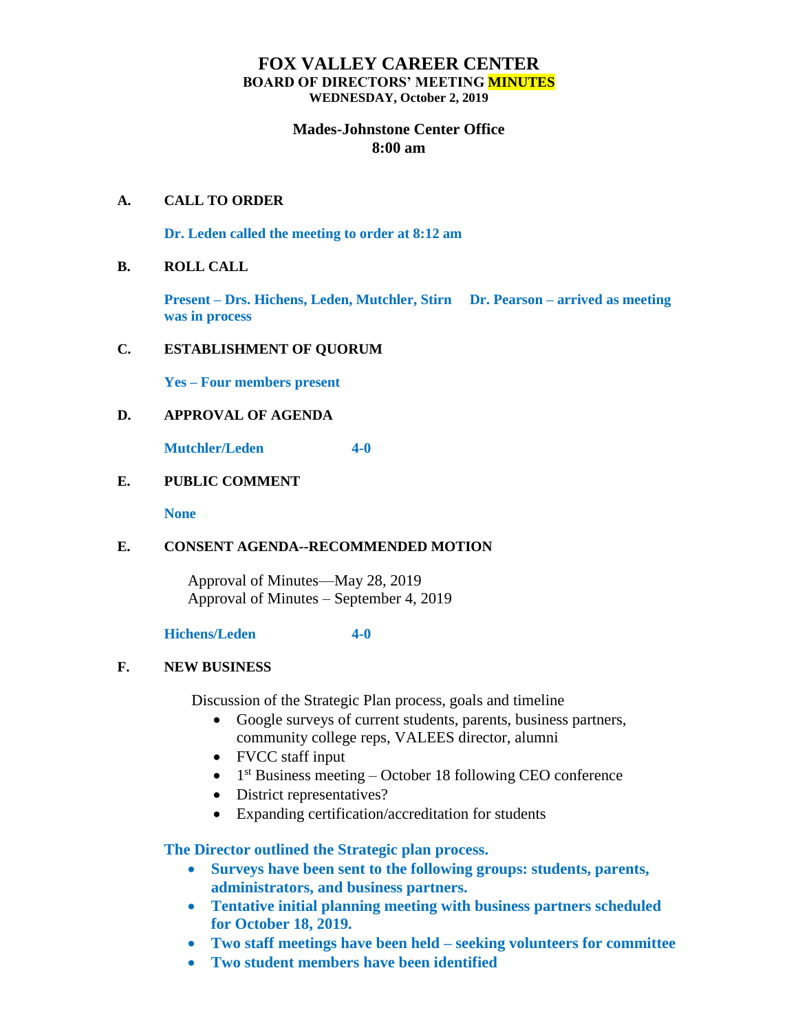# **FOX VALLEY CAREER CENTER BOARD OF DIRECTORS' MEETING MINUTES WEDNESDAY, October 2, 2019**

# **Mades-Johnstone Center Office 8:00 am**

### **A. CALL TO ORDER**

**Dr. Leden called the meeting to order at 8:12 am**

#### **B. ROLL CALL**

**Present – Drs. Hichens, Leden, Mutchler, Stirn Dr. Pearson – arrived as meeting was in process**

## **C. ESTABLISHMENT OF QUORUM**

**Yes – Four members present**

## **D. APPROVAL OF AGENDA**

**Mutchler/Leden 4-0**

# **E. PUBLIC COMMENT**

**None**

### **E. CONSENT AGENDA--RECOMMENDED MOTION**

Approval of Minutes—May 28, 2019 Approval of Minutes – September 4, 2019

#### **Hichens/Leden 4-0**

# **F. NEW BUSINESS**

Discussion of the Strategic Plan process, goals and timeline

- Google surveys of current students, parents, business partners, community college reps, VALEES director, alumni
- FVCC staff input
- $\bullet$  1<sup>st</sup> Business meeting October 18 following CEO conference
- District representatives?
- Expanding certification/accreditation for students

**The Director outlined the Strategic plan process.** 

- **Surveys have been sent to the following groups: students, parents, administrators, and business partners.**
- **Tentative initial planning meeting with business partners scheduled for October 18, 2019.**
- **Two staff meetings have been held – seeking volunteers for committee**
- **Two student members have been identified**